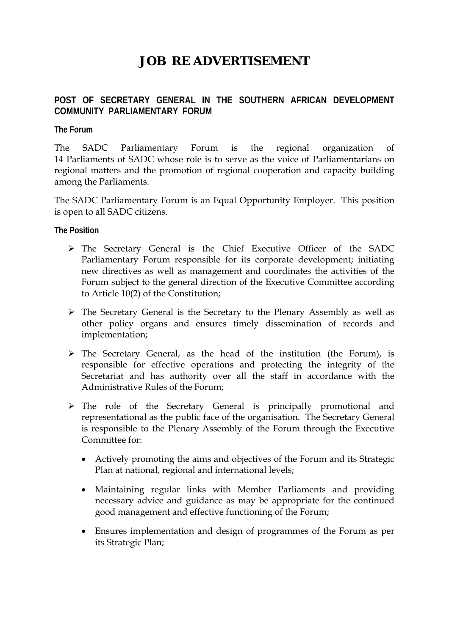# **JOB RE ADVERTISEMENT**

# **POST OF SECRETARY GENERAL IN THE SOUTHERN AFRICAN DEVELOPMENT COMMUNITY PARLIAMENTARY FORUM**

#### **The Forum**

The SADC Parliamentary Forum is the regional organization of 14 Parliaments of SADC whose role is to serve as the voice of Parliamentarians on regional matters and the promotion of regional cooperation and capacity building among the Parliaments.

The SADC Parliamentary Forum is an Equal Opportunity Employer. This position is open to all SADC citizens.

**The Position** 

- ¾ The Secretary General is the Chief Executive Officer of the SADC Parliamentary Forum responsible for its corporate development; initiating new directives as well as management and coordinates the activities of the Forum subject to the general direction of the Executive Committee according to Article 10(2) of the Constitution;
- ¾ The Secretary General is the Secretary to the Plenary Assembly as well as other policy organs and ensures timely dissemination of records and implementation;
- $\triangleright$  The Secretary General, as the head of the institution (the Forum), is responsible for effective operations and protecting the integrity of the Secretariat and has authority over all the staff in accordance with the Administrative Rules of the Forum;
- ¾ The role of the Secretary General is principally promotional and representational as the public face of the organisation. The Secretary General is responsible to the Plenary Assembly of the Forum through the Executive Committee for:
	- Actively promoting the aims and objectives of the Forum and its Strategic Plan at national, regional and international levels;
	- Maintaining regular links with Member Parliaments and providing necessary advice and guidance as may be appropriate for the continued good management and effective functioning of the Forum;
	- Ensures implementation and design of programmes of the Forum as per its Strategic Plan;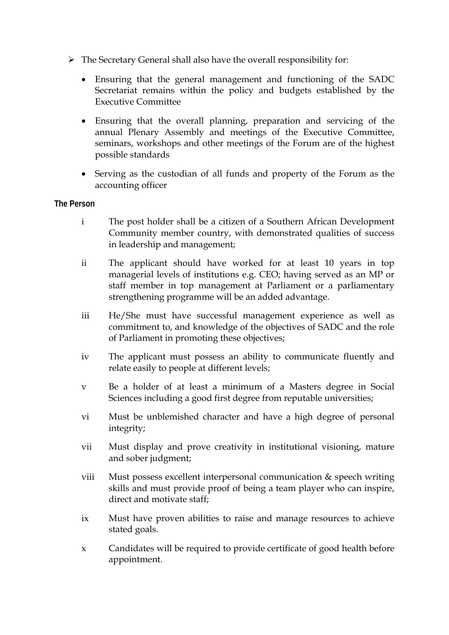- $\triangleright$  The Secretary General shall also have the overall responsibility for:
	- Ensuring that the general management and functioning of the SADC Secretariat remains within the policy and budgets established by the Executive Committee
	- Ensuring that the overall planning, preparation and servicing of the annual Plenary Assembly and meetings of the Executive Committee, seminars, workshops and other meetings of the Forum are of the highest possible standards
	- Serving as the custodian of all funds and property of the Forum as the accounting officer

#### **The Person**

- i The post holder shall be a citizen of a Southern African Development Community member country, with demonstrated qualities of success in leadership and management;
- ii The applicant should have worked for at least 10 years in top managerial levels of institutions e.g. CEO; having served as an MP or staff member in top management at Parliament or a parliamentary strengthening programme will be an added advantage.
- iii He/She must have successful management experience as well as commitment to, and knowledge of the objectives of SADC and the role of Parliament in promoting these objectives;
- iv The applicant must possess an ability to communicate fluently and relate easily to people at different levels;
- v Be a holder of at least a minimum of a Masters degree in Social Sciences including a good first degree from reputable universities;
- vi Must be unblemished character and have a high degree of personal integrity;
- vii Must display and prove creativity in institutional visioning, mature and sober judgment;
- viii Must possess excellent interpersonal communication & speech writing skills and must provide proof of being a team player who can inspire, direct and motivate staff;
- ix Must have proven abilities to raise and manage resources to achieve stated goals.
- x Candidates will be required to provide certificate of good health before appointment.